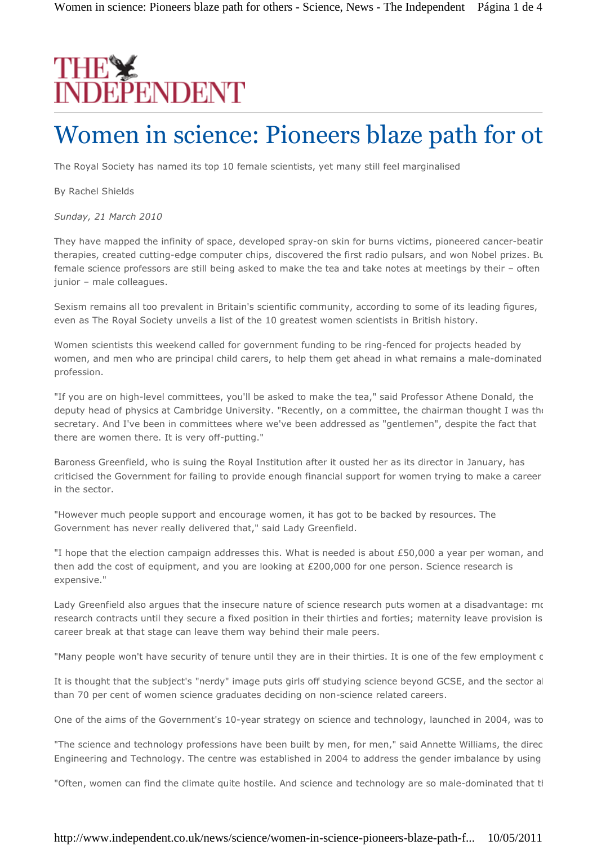# THE<sup>S</sup>

# Women in science: Pioneers blaze path for others

The Royal Society has named its top 10 female scientists, yet many still feel marginalised

By Rachel Shields

*Sunday, 21 March 2010*

They have mapped the infinity of space, developed spray-on skin for burns victims, pioneered cancer-beatir therapies, created cutting-edge computer chips, discovered the first radio pulsars, and won Nobel prizes. But female science professors are still being asked to make the tea and take notes at meetings by their – often junior – male colleagues.

Sexism remains all too prevalent in Britain's scientific community, according to some of its leading figures, even as The Royal Society unveils a list of the 10 greatest women scientists in British history.

Women scientists this weekend called for government funding to be ring-fenced for projects headed by women, and men who are principal child carers, to help them get ahead in what remains a male-dominated profession.

"If you are on high-level committees, you'll be asked to make the tea," said Professor Athene Donald, the deputy head of physics at Cambridge University. "Recently, on a committee, the chairman thought I was the secretary. And I've been in committees where we've been addressed as "gentlemen", despite the fact that there are women there. It is very off-putting."

Baroness Greenfield, who is suing the Royal Institution after it ousted her as its director in January, has criticised the Government for failing to provide enough financial support for women trying to make a career in the sector.

"However much people support and encourage women, it has got to be backed by resources. The Government has never really delivered that," said Lady Greenfield.

"I hope that the election campaign addresses this. What is needed is about £50,000 a year per woman, and then add the cost of equipment, and you are looking at £200,000 for one person. Science research is expensive."

Lady Greenfield also argues that the insecure nature of science research puts women at a disadvantage: most research contracts until they secure a fixed position in their thirties and forties; maternity leave provision is career break at that stage can leave them way behind their male peers.

"Many people won't have security of tenure until they are in their thirties. It is one of the few employment c

It is thought that the subject's "nerdy" image puts girls off studying science beyond GCSE, and the sector also struggles to retain females to retain females to retain females to retain females to retain females to retain than 70 per cent of women science graduates deciding on non-science related careers.

One of the aims of the Government's 10-year strategy on science and technology, launched in 2004, was to

"The science and technology professions have been built by men, for men," said Annette Williams, the direc Engineering and Technology. The centre was established in 2004 to address the gender imbalance by using

"Often, women can find the climate quite hostile. And science and technology are so male-dominated that tl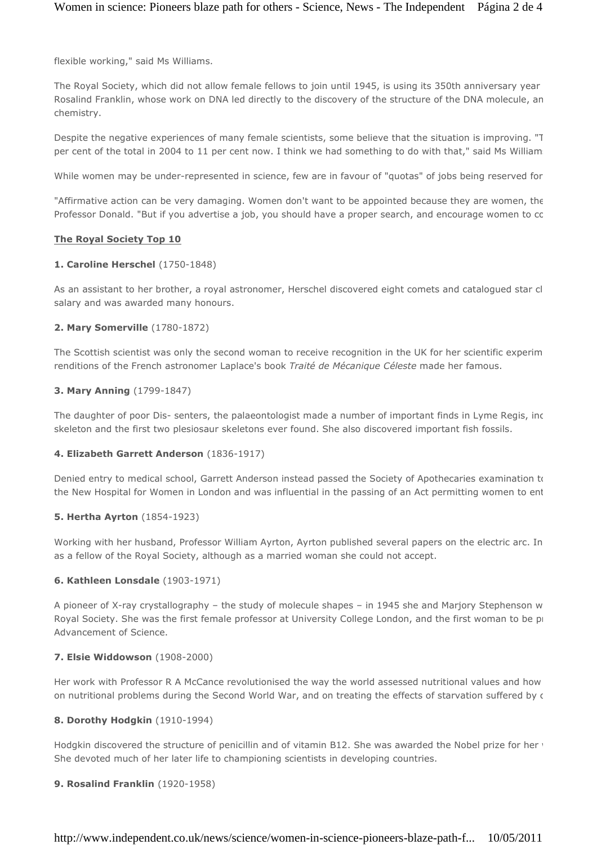flexible working," said Ms Williams.

The Royal Society, which did not allow female fellows to join until 1945, is using its 350th anniversary year Rosalind Franklin, whose work on DNA led directly to the discovery of the structure of the DNA molecule, an chemistry.

Despite the negative experiences of many female scientists, some believe that the situation is improving. "The number of women science  $\mathbb{R}^n$ per cent of the total in 2004 to 11 per cent now. I think we had something to do with that," said Ms William

While women may be under-represented in science, few are in favour of "quotas" of jobs being reserved for

"Affirmative action can be very damaging. Women don't want to be appointed because they are women, the Professor Donald. "But if you advertise a job, you should have a proper search, and encourage women to cc

#### **The Royal Society Top 10**

#### **1. Caroline Herschel** (1750-1848)

As an assistant to her brother, a royal astronomer, Herschel discovered eight comets and catalogued star cl salary and was awarded many honours.

# **2. Mary Somerville** (1780-1872)

The Scottish scientist was only the second woman to receive recognition in the UK for her scientific experim renditions of the French astronomer Laplace's book *Traité de Mécanique Céleste* made her famous.

#### **3. Mary Anning** (1799-1847)

The daughter of poor Dis- senters, the palaeontologist made a number of important finds in Lyme Regis, including skeleton and the first two plesiosaur skeletons ever found. She also discovered important fish fossils.

#### **4. Elizabeth Garrett Anderson** (1836-1917)

Denied entry to medical school, Garrett Anderson instead passed the Society of Apothecaries examination to the New Hospital for Women in London and was influential in the passing of an Act permitting women to ent

# **5. Hertha Ayrton** (1854-1923)

Working with her husband, Professor William Ayrton, Ayrton published several papers on the electric arc. In as a fellow of the Royal Society, although as a married woman she could not accept.

# **6. Kathleen Lonsdale** (1903-1971)

A pioneer of X-ray crystallography – the study of molecule shapes – in 1945 she and Marjory Stephenson w Royal Society. She was the first female professor at University College London, and the first woman to be president Advancement of Science.

# **7. Elsie Widdowson** (1908-2000)

Her work with Professor R A McCance revolutionised the way the world assessed nutritional values and how on nutritional problems during the Second World War, and on treating the effects of starvation suffered by c

#### **8. Dorothy Hodgkin** (1910-1994)

Hodgkin discovered the structure of penicillin and of vitamin B12. She was awarded the Nobel prize for her v She devoted much of her later life to championing scientists in developing countries.

#### **9. Rosalind Franklin** (1920-1958)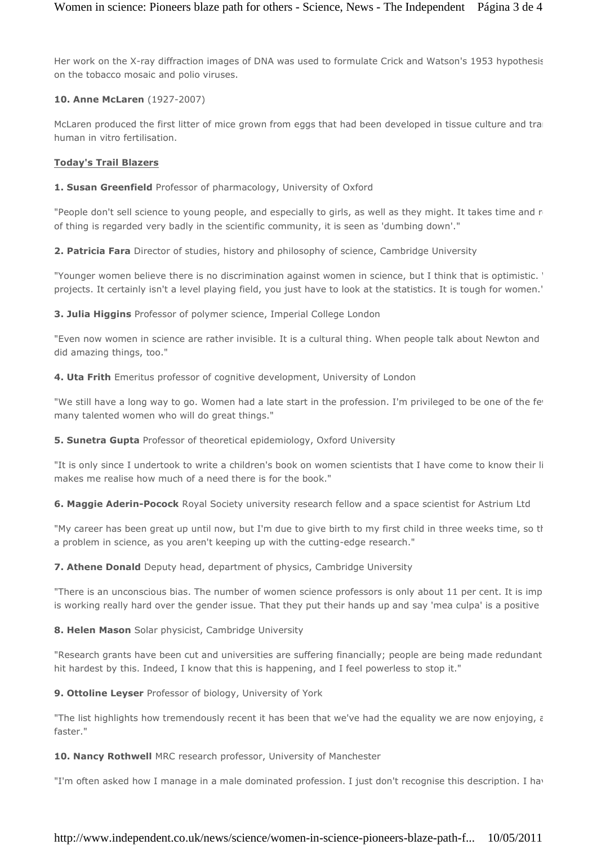Her work on the X-ray diffraction images of DNA was used to formulate Crick and Watson's 1953 hypothesis on the tobacco mosaic and polio viruses.

# **10. Anne McLaren** (1927-2007)

McLaren produced the first litter of mice grown from eggs that had been developed in tissue culture and trans human in vitro fertilisation.

#### **Today's Trail Blazers**

**1. Susan Greenfield** Professor of pharmacology, University of Oxford

"People don't sell science to young people, and especially to girls, as well as they might. It takes time and r of thing is regarded very badly in the scientific community, it is seen as 'dumbing down'."

**2. Patricia Fara** Director of studies, history and philosophy of science, Cambridge University

"Younger women believe there is no discrimination against women in science, but I think that is optimistic. ' projects. It certainly isn't a level playing field, you just have to look at the statistics. It is tough for women."

**3. Julia Higgins** Professor of polymer science, Imperial College London

"Even now women in science are rather invisible. It is a cultural thing. When people talk about Newton and did amazing things, too."

**4. Uta Frith** Emeritus professor of cognitive development, University of London

"We still have a long way to go. Women had a late start in the profession. I'm privileged to be one of the few many talented women who will do great things."

**5. Sunetra Gupta** Professor of theoretical epidemiology, Oxford University

"It is only since I undertook to write a children's book on women scientists that I have come to know their li makes me realise how much of a need there is for the book."

**6. Maggie Aderin-Pocock** Royal Society university research fellow and a space scientist for Astrium Ltd

"My career has been great up until now, but I'm due to give birth to my first child in three weeks time, so th a problem in science, as you aren't keeping up with the cutting-edge research."

**7. Athene Donald** Deputy head, department of physics, Cambridge University

"There is an unconscious bias. The number of women science professors is only about 11 per cent. It is imp is working really hard over the gender issue. That they put their hands up and say 'mea culpa' is a positive

**8. Helen Mason** Solar physicist, Cambridge University

"Research grants have been cut and universities are suffering financially; people are being made redundant hit hardest by this. Indeed, I know that this is happening, and I feel powerless to stop it."

**9. Ottoline Leyser** Professor of biology, University of York

"The list highlights how tremendously recent it has been that we've had the equality we are now enjoying,  $\epsilon$ faster."

**10. Nancy Rothwell** MRC research professor, University of Manchester

"I'm often asked how I manage in a male dominated profession. I just don't recognise this description. I have

# http://www.independent.co.uk/news/science/women-in-science-pioneers-blaze-path-f... 10/05/2011